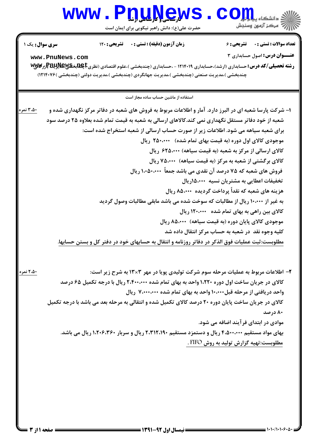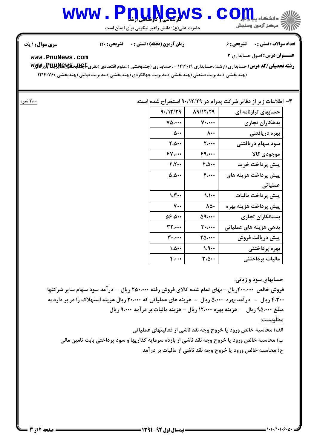## WWW.PnuNews.Com است.<br>است مرکز آزمون وسنجش

حضرت علی(ع): دانش راهبر نیکویی برای ایمان است

**تعداد سوالات : تستي : . ۔ ۔ تشریحي : ۶** 

زمان آزمون (دقیقه) : تستی : . تشریحی : 120

**سری سوال : ۱ یک** 

**عنــوان درس:** اصول حسابداري ٣

www.PnuNews.com

رشته تحصیلی/کد درس: حسابداری (ارشد)،حسابداری ۱۲۱۴۰۱۹ - ،حسابداری (چندبخشی )،علوم اقتصادی (نظری‡هابدگلیلا)آزرگایا (چندبخشی )،مدیریت صنعتی (چندبخشی )،مدیریت جهانگردی (چندبخشی )،مدیریت دولتی (چندبخشی )۱۲۱۴۰۷۶

## ۳- اطلاعات زیر از دفاتر شرکت پدرام در ۹۰/۱۲/۲۹ استخراج شده است:

| 9.117/79                          | 19/17/79              | حسابهای ترازنامه ای    |
|-----------------------------------|-----------------------|------------------------|
| $\mathsf{v}\mathsf{a} \cdots$     | $V \cdot \cdots$      | بدهكاران تجارى         |
| $\Delta \cdot \cdot$              | $\lambda \cdot \cdot$ | بهره دريافتنى          |
| ٠٠۵٠٠                             | ۲.۰۰۰                 | سود سهام دريافتنى      |
| 84                                | ۶۹٬۰۰۰                | موجودى كالا            |
| 7.7                               | ٠٠۵٠٠                 | پیش پرداخت خرید        |
| $\Delta \cdot \Delta \cdot \cdot$ | ۴،٠٠٠                 | پیش پرداخت هزینه های   |
|                                   |                       | عملیاتی                |
| $\mathcal{N}$                     | $\mathcal{N}$         | پیش پرداخت مالیات      |
| $\mathsf{v}\cdot\mathsf{v}$       | ۸۵۰                   | پيش پرداخت هزينه بهره  |
| 4.4.34                            | 59.000                | بستانكاران تجارى       |
| 32.000                            | ۳۰،۰۰۰                | بدهی هزینه های عملیاتی |
| ۳۰،۰۰۰                            | ۲۵،۰۰۰                | پیش دریافت فروش        |
| 1.0                               | 1.9                   | بهره پرداختنی          |
| $F_{i}$                           | ۳،۵۰۰                 | ماليات پرداختنى        |

حسابهای سود و زیانی:

فروش خالص ۴۰۰،۰۰۰ریال – بهای تمام شده کالای فروش رفته ۲۵۰،۰۰۰ ریال ً - در آمد سود سهام سایر شرکتها ۴،۳۰۰ ریال - در آمد بهره ۵،۰۰۰ ریال - هزینه های عملیاتی که ۲۰،۰۰۰ ریال هزینه استهلاک را در بر دارد به مبلغ ۹۵٬۰۰۰ ریال - هزینه بهره ۱۲٬۰۰۰ ریال - هزینه مالیات بر در آمد ۹٬۰۰۰ ریال

مطلوبست:

الف) محاسبه خالص ورود یا خروج وجه نقد ناشی از فعالیتهای عملیاتی

ب) محاسبه خالص ورود یا خروج وجه نقد ناشی از بازده سرمایه گذاریها و سود پرداختی بابت تامین مالی ج) محاسبه خالص ورود یا خروج وجه نقد ناشی از مالیات بر درآمد

۲،۰۰ نمره